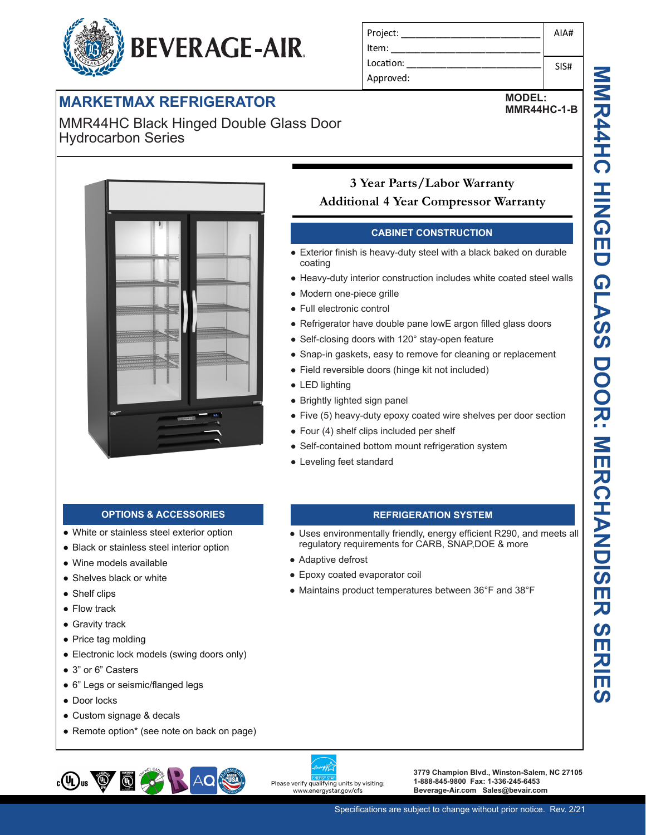# **BEVERAGE-AIR.**

# **MARKETMAX REFRIGERATOR**

MMR44HC Black Hinged Double Glass Door Hydrocarbon Series



### Project: Item: Location: Approved: AIA# SIS#

**MODEL: MMR44HC-1-B**

# **Additional 4 Year Compressor Warranty** • Exterior finish is heavy-duty steel with a black baked on durable coating ● Heavy-duty interior construction includes white coated steel walls ● Modern one-piece grille ● Full electronic control ● Refrigerator have double pane lowE argon filled glass doors • Self-closing doors with 120° stay-open feature • Snap-in gaskets, easy to remove for cleaning or replacement • Field reversible doors (hinge kit not included) ● LED lighting

- Brightly lighted sign panel
- Five (5) heavy-duty epoxy coated wire shelves per door section

**REFRIGERATION SYSTEM** ● Uses environmentally friendly, energy efficient R290, and meets all

regulatory requirements for CARB, SNAP,DOE & more

● Maintains product temperatures between 36°F and 38°F

**CABINET CONSTRUCTION**

**3 Year Parts/Labor Warranty**

- $\bullet$  Four (4) shelf clips included per shelf
- Self-contained bottom mount refrigeration system
- Leveling feet standard

● Adaptive defrost

● Epoxy coated evaporator coil

## **OPTIONS & ACCESSORIES**

- White or stainless steel exterior option
- Black or stainless steel interior option
- Wine models available
- Shelves black or white
- Shelf clips
- Flow track
- Gravity track
- Price tag molding
- Electronic lock models (swing doors only)
- 3" or 6" Casters
- 6" Legs or seismic/flanged legs
- Door locks
- Custom signage & decals
- Remote option\* (see note on back on page)

# $_{c}$ (U<sub>L</sub>)<sub>us</sub>  $\bigcircled{g}$  $\bigcirc$

Please verify qualifying units by visiting: www.energystar.gov/cfs

**3779 Champion Blvd., Winston-Salem, NC 27105 1-888-845-9800 Fax: 1-336-245-6453 Beverage-Air.com Sales@bevair.com**